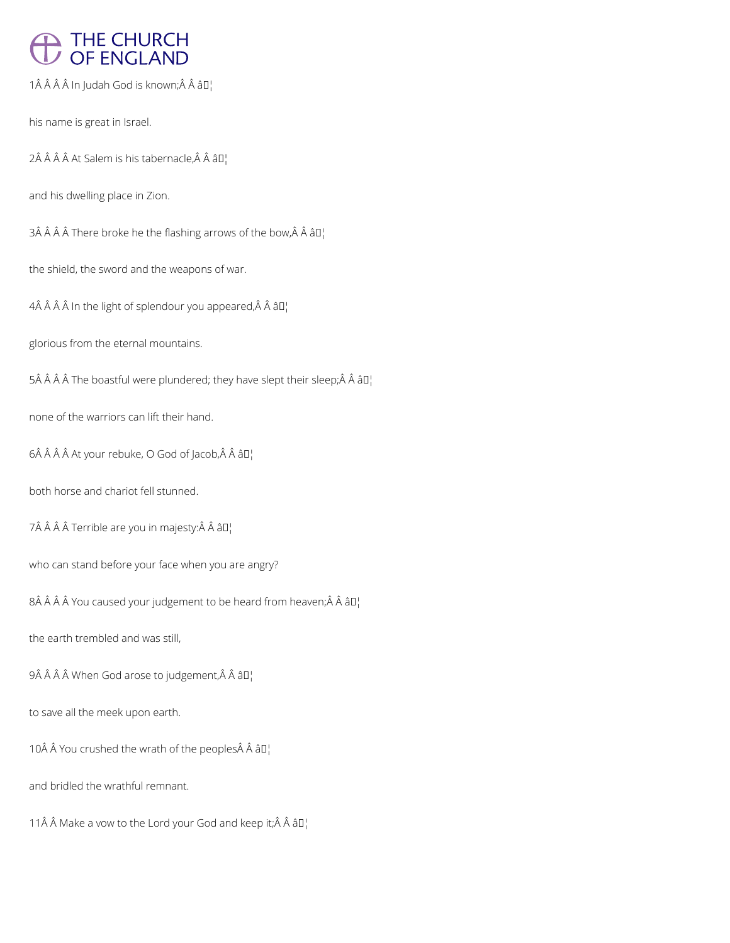# THE CHURCH<br>OF ENGLAND

 $1\hat{A}$   $\hat{A}$   $\hat{A}$   $\hat{A}$  In Judah God is known; $\hat{A}$   $\hat{A}$   $\hat{a}$  $\Pi$ <sub>1</sub>

his name is great in Israel.

 $2\hat{A}$   $\hat{A}$   $\hat{A}$   $\hat{A}$  at Salem is his tabernacle, $\hat{A}$   $\hat{A}$   $\hat{a}$  $\Pi$ 

and his dwelling place in Zion.

 $3\hat{A}$   $\hat{A}$   $\hat{A}$   $\hat{A}$  There broke he the flashing arrows of the bow, $\hat{A}$   $\hat{A}$   $\hat{a}$   $\Gamma$ 

the shield, the sword and the weapons of war.

 $4\hat{A}$   $\hat{A}$   $\hat{A}$   $\hat{A}$  in the light of splendour you appeared, $\hat{A}$   $\hat{A}$   $\hat{B}$  $I$ 

glorious from the eternal mountains.

 $5\hat{A}$   $\hat{A}$   $\hat{A}$   $\hat{A}$  The boastful were plundered; they have slept their sleep; $\hat{A}$   $\hat{A}$   $\hat{a}$  $\Box$ 

none of the warriors can lift their hand.

 $6\hat{A}$   $\hat{A}$   $\hat{A}$  At your rebuke, O God of Jacob,  $\hat{A}$   $\hat{A}$   $\hat{a}$   $\Pi$ <sub>1</sub>

both horse and chariot fell stunned.

7Â Â Â Â Terrible are you in majesty:Â Â â D¦

who can stand before your face when you are angry?

 $8\hat{A}$   $\hat{A}$   $\hat{A}$   $\hat{A}$  You caused your judgement to be heard from heaven; $\hat{A}$   $\hat{A}$   $\hat{a}$   $\Box$ 

the earth trembled and was still,

9Â Â Â Â When God arose to judgement, Â Â â  $\Pi_1$ 

to save all the meek upon earth.

10 You crushed the wrath of the peoples Â â []

and bridled the wrathful remnant.

11 $\hat{A}$   $\hat{A}$  Make a vow to the Lord your God and keep it;  $\hat{A}$   $\hat{A}$   $\hat{a}$   $\Box$